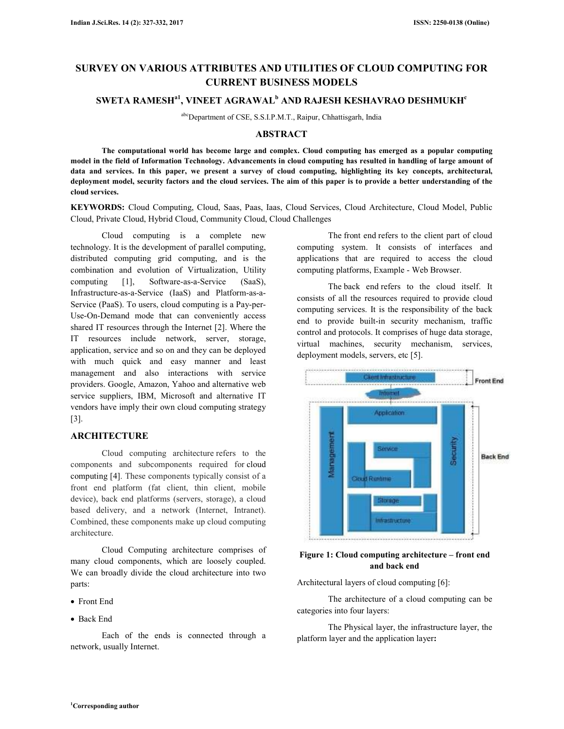# **SURVEY ON VARIOUS ATTRIBUTES AND UTILITIES OF CLOUD COMPUTING FOR CURRENT BUSINESS MODELS**

# **SWETA RAMESHa1, VINEET AGRAWAL<sup>b</sup> AND RAJESH KESHAVRAO DESHMUKH<sup>c</sup>**

abcDepartment of CSE, S.S.I.P.M.T., Raipur, Chhattisgarh, India

# **ABSTRACT**

 **The computational world has become large and complex. Cloud computing has emerged as a popular computing model in the field of Information Technology. Advancements in cloud computing has resulted in handling of large amount of data and services. In this paper, we present a survey of cloud computing, highlighting its key concepts, architectural, deployment model, security factors and the cloud services. The aim of this paper is to provide a better understanding of the cloud services.** 

**KEYWORDS:** Cloud Computing, Cloud, Saas, Paas, Iaas, Cloud Services, Cloud Architecture, Cloud Model, Public Cloud, Private Cloud, Hybrid Cloud, Community Cloud, Cloud Challenges

 Cloud computing is a complete new technology. It is the development of parallel computing, distributed computing grid computing, and is the combination and evolution of Virtualization, Utility computing [1], Software-as-a-Service (SaaS), Infrastructure-as-a-Service (IaaS) and Platform-as-a-Service (PaaS). To users, cloud computing is a Pay-per-Use-On-Demand mode that can conveniently access shared IT resources through the Internet [2]. Where the IT resources include network, server, storage, application, service and so on and they can be deployed with much quick and easy manner and least management and also interactions with service providers. Google, Amazon, Yahoo and alternative web service suppliers, IBM, Microsoft and alternative IT vendors have imply their own cloud computing strategy [3].

# **ARCHITECTURE**

 Cloud computing architecture refers to the components and subcomponents required for cloud computing [4]. These components typically consist of a front end platform (fat client, thin client, mobile device), back end platforms (servers, storage), a cloud based delivery, and a network (Internet, Intranet). Combined, these components make up cloud computing architecture.

 Cloud Computing architecture comprises of many cloud components, which are loosely coupled. We can broadly divide the cloud architecture into two parts:

- Front End
- Back End

 Each of the ends is connected through a network, usually Internet.

 The front end refers to the client part of cloud computing system. It consists of interfaces and applications that are required to access the cloud computing platforms, Example - Web Browser.

 The back end refers to the cloud itself. It consists of all the resources required to provide cloud computing services. It is the responsibility of the back end to provide built-in security mechanism, traffic control and protocols. It comprises of huge data storage, virtual machines, security mechanism, services, deployment models, servers, etc [5].



# **Figure 1: Cloud computing architecture – front end and back end**

Architectural layers of cloud computing [6]:

 The architecture of a cloud computing can be categories into four layers:

 The Physical layer, the infrastructure layer, the platform layer and the application layer**:**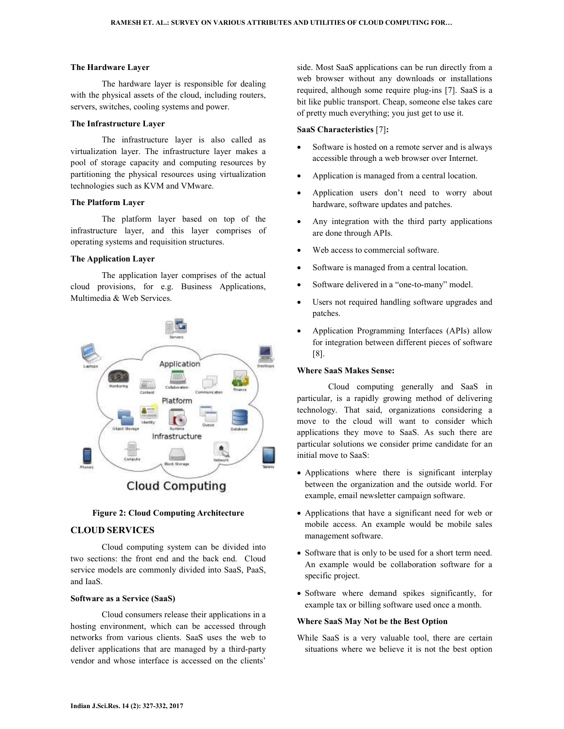#### **The Hardware Layer**

 The hardware layer is responsible for dealing with the physical assets of the cloud, including routers, servers, switches, cooling systems and power.

#### **The Infrastructure Layer**

 The infrastructure layer is also called as virtualization layer. The infrastructure layer makes a pool of storage capacity and computing resources by partitioning the physical resources using virtualization technologies such as KVM and VMware.

# **The Platform Layer**

 The platform layer based on top of the infrastructure layer, and this layer comprises of operating systems and requisition structures.

### **The Application Layer**

 The application layer comprises of the actual cloud provisions, for e.g. Business Applications, Multimedia & Web Services.



**Cloud Computing** 

## **Figure 2: Cloud Computing Architecture**

# **CLOUD SERVICES**

 Cloud computing system can be divided into two sections: the front end and the back end. Cloud service models are commonly divided into SaaS, PaaS, and IaaS.

### **Software as a Service (SaaS)**

 Cloud consumers release their applications in a hosting environment, which can be accessed through networks from various clients. SaaS uses the web to deliver applications that are managed by a third-party vendor and whose interface is accessed on the clients'

side. Most SaaS applications can be run directly from a web browser without any downloads or installations required, although some require plug-ins [7]. SaaS is a bit like public transport. Cheap, someone else takes care of pretty much everything; you just get to use it.

### **SaaS Characteristics** [7]**:**

- Software is hosted on a remote server and is always accessible through a web browser over Internet.
- Application is managed from a central location.
- Application users don't need to worry about hardware, software updates and patches.
- Any integration with the third party applications are done through APIs.
- Web access to commercial software.
- Software is managed from a central location.
- Software delivered in a "one-to-many" model.
- Users not required handling software upgrades and patches.
- Application Programming Interfaces (APIs) allow for integration between different pieces of software [8].

# **Where SaaS Makes Sense:**

 Cloud computing generally and SaaS in particular, is a rapidly growing method of delivering technology. That said, organizations considering a move to the cloud will want to consider which applications they move to SaaS. As such there are particular solutions we consider prime candidate for an initial move to SaaS:

- Applications where there is significant interplay between the organization and the outside world. For example, email newsletter campaign software.
- Applications that have a significant need for web or mobile access. An example would be mobile sales management software.
- Software that is only to be used for a short term need. An example would be collaboration software for a specific project.
- Software where demand spikes significantly, for example tax or billing software used once a month.

### **Where SaaS May Not be the Best Option**

While SaaS is a very valuable tool, there are certain situations where we believe it is not the best option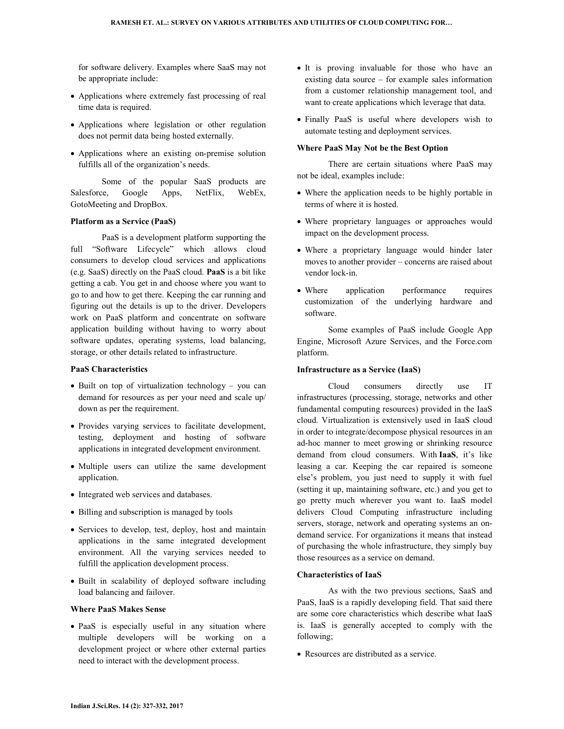for software delivery. Examples where SaaS may not be appropriate include:

- Applications where extremely fast processing of real time data is required.
- Applications where legislation or other regulation does not permit data being hosted externally.
- Applications where an existing on-premise solution fulfills all of the organization's needs.

 Some of the popular SaaS products are Salesforce, Google Apps, NetFlix, WebEx, GotoMeeting and DropBox.

### **Platform as a Service (PaaS)**

 PaaS is a development platform supporting the full "Software Lifecycle" which allows cloud consumers to develop cloud services and applications (e.g. SaaS) directly on the PaaS cloud. **PaaS** is a bit like getting a cab. You get in and choose where you want to go to and how to get there. Keeping the car running and figuring out the details is up to the driver. Developers work on PaaS platform and concentrate on software application building without having to worry about software updates, operating systems, load balancing, storage, or other details related to infrastructure.

#### **PaaS Characteristics**

- Built on top of virtualization technology you can demand for resources as per your need and scale up/ down as per the requirement.
- Provides varying services to facilitate development, testing, deployment and hosting of software applications in integrated development environment.
- Multiple users can utilize the same development application.
- Integrated web services and databases.
- Billing and subscription is managed by tools
- Services to develop, test, deploy, host and maintain applications in the same integrated development environment. All the varying services needed to fulfill the application development process.
- Built in scalability of deployed software including load balancing and failover.

### **Where PaaS Makes Sense**

• PaaS is especially useful in any situation where multiple developers will be working on a development project or where other external parties need to interact with the development process.

- It is proving invaluable for those who have an existing data source – for example sales information from a customer relationship management tool, and want to create applications which leverage that data.
- Finally PaaS is useful where developers wish to automate testing and deployment services.

#### **Where PaaS May Not be the Best Option**

 There are certain situations where PaaS may not be ideal, examples include:

- Where the application needs to be highly portable in terms of where it is hosted.
- Where proprietary languages or approaches would impact on the development process.
- Where a proprietary language would hinder later moves to another provider – concerns are raised about vendor lock-in.
- Where application performance requires customization of the underlying hardware and software.

 Some examples of PaaS include Google App Engine, Microsoft Azure Services, and the Force.com platform.

### **Infrastructure as a Service (IaaS)**

 Cloud consumers directly use IT infrastructures (processing, storage, networks and other fundamental computing resources) provided in the IaaS cloud. Virtualization is extensively used in IaaS cloud in order to integrate/decompose physical resources in an ad-hoc manner to meet growing or shrinking resource demand from cloud consumers. With **IaaS**, it's like leasing a car. Keeping the car repaired is someone else's problem, you just need to supply it with fuel (setting it up, maintaining software, etc.) and you get to go pretty much wherever you want to. IaaS model delivers Cloud Computing infrastructure including servers, storage, network and operating systems an ondemand service. For organizations it means that instead of purchasing the whole infrastructure, they simply buy those resources as a service on demand.

# **Characteristics of IaaS**

 As with the two previous sections, SaaS and PaaS, IaaS is a rapidly developing field. That said there are some core characteristics which describe what IaaS is. IaaS is generally accepted to comply with the following;

• Resources are distributed as a service.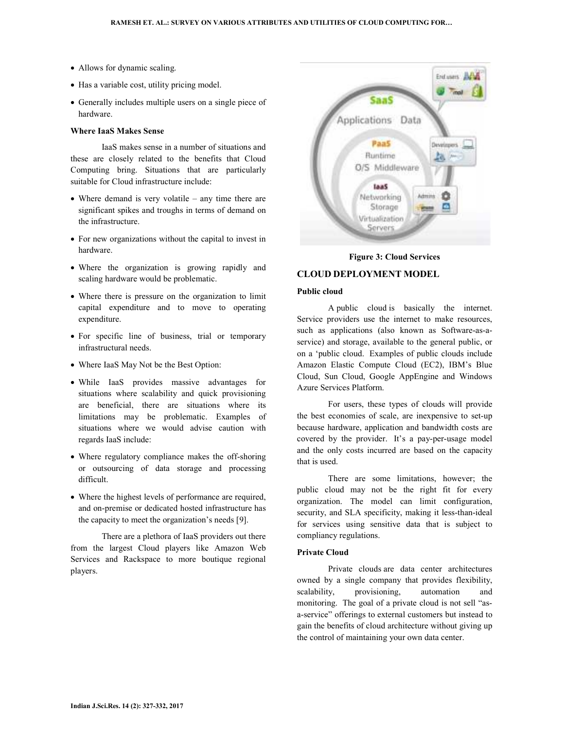- Allows for dynamic scaling.
- Has a variable cost, utility pricing model.
- Generally includes multiple users on a single piece of hardware.

#### **Where IaaS Makes Sense**

 IaaS makes sense in a number of situations and these are closely related to the benefits that Cloud Computing bring. Situations that are particularly suitable for Cloud infrastructure include:

- Where demand is very volatile any time there are significant spikes and troughs in terms of demand on the infrastructure.
- For new organizations without the capital to invest in hardware.
- Where the organization is growing rapidly and scaling hardware would be problematic.
- Where there is pressure on the organization to limit capital expenditure and to move to operating expenditure.
- For specific line of business, trial or temporary infrastructural needs.
- Where IaaS May Not be the Best Option:
- While IaaS provides massive advantages for situations where scalability and quick provisioning are beneficial, there are situations where its limitations may be problematic. Examples of situations where we would advise caution with regards IaaS include:
- Where regulatory compliance makes the off-shoring or outsourcing of data storage and processing difficult.
- Where the highest levels of performance are required, and on-premise or dedicated hosted infrastructure has the capacity to meet the organization's needs [9].

 There are a plethora of IaaS providers out there from the largest Cloud players like Amazon Web Services and Rackspace to more boutique regional players.



**Figure 3: Cloud Services** 

# **CLOUD DEPLOYMENT MODEL**

#### **Public cloud**

 A public cloud is basically the internet. Service providers use the internet to make resources, such as applications (also known as Software-as-aservice) and storage, available to the general public, or on a 'public cloud. Examples of public clouds include Amazon Elastic Compute Cloud (EC2), IBM's Blue Cloud, Sun Cloud, Google AppEngine and Windows Azure Services Platform.

 For users, these types of clouds will provide the best economies of scale, are inexpensive to set-up because hardware, application and bandwidth costs are covered by the provider. It's a pay-per-usage model and the only costs incurred are based on the capacity that is used.

 There are some limitations, however; the public cloud may not be the right fit for every organization. The model can limit configuration, security, and SLA specificity, making it less-than-ideal for services using sensitive data that is subject to compliancy regulations.

# **Private Cloud**

 Private clouds are data center architectures owned by a single company that provides flexibility, scalability, provisioning, automation and monitoring. The goal of a private cloud is not sell "asa-service" offerings to external customers but instead to gain the benefits of cloud architecture without giving up the control of maintaining your own data center.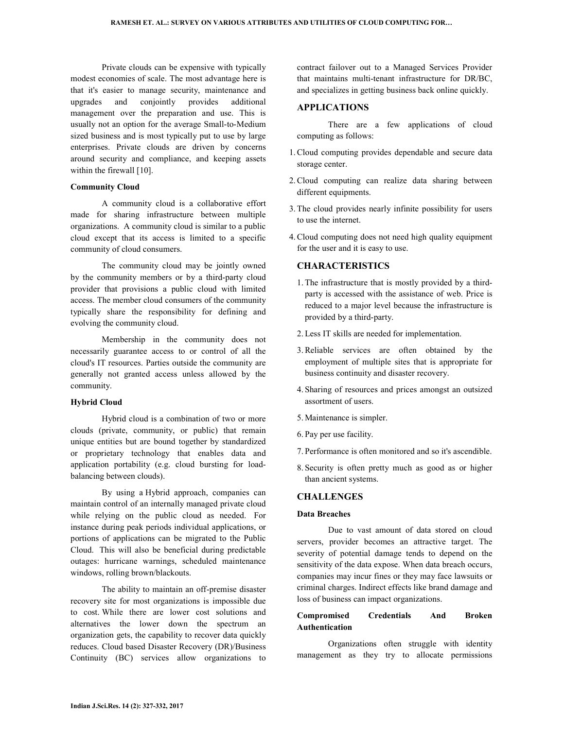Private clouds can be expensive with typically modest economies of scale. The most advantage here is that it's easier to manage security, maintenance and upgrades and conjointly provides additional management over the preparation and use. This is usually not an option for the average Small-to-Medium sized business and is most typically put to use by large enterprises. Private clouds are driven by concerns around security and compliance, and keeping assets within the firewall [10].

### **Community Cloud**

 A community cloud is a collaborative effort made for sharing infrastructure between multiple organizations. A community cloud is similar to a public cloud except that its access is limited to a specific community of cloud consumers.

 The community cloud may be jointly owned by the community members or by a third-party cloud provider that provisions a public cloud with limited access. The member cloud consumers of the community typically share the responsibility for defining and evolving the community cloud.

 Membership in the community does not necessarily guarantee access to or control of all the cloud's IT resources. Parties outside the community are generally not granted access unless allowed by the community.

### **Hybrid Cloud**

 Hybrid cloud is a combination of two or more clouds (private, community, or public) that remain unique entities but are bound together by standardized or proprietary technology that enables data and application portability (e.g. cloud bursting for loadbalancing between clouds).

 By using a Hybrid approach, companies can maintain control of an internally managed private cloud while relying on the public cloud as needed. For instance during peak periods individual applications, or portions of applications can be migrated to the Public Cloud. This will also be beneficial during predictable outages: hurricane warnings, scheduled maintenance windows, rolling brown/blackouts.

 The ability to maintain an off-premise disaster recovery site for most organizations is impossible due to cost. While there are lower cost solutions and alternatives the lower down the spectrum an organization gets, the capability to recover data quickly reduces. Cloud based Disaster Recovery (DR)/Business Continuity (BC) services allow organizations to

contract failover out to a Managed Services Provider that maintains multi-tenant infrastructure for DR/BC, and specializes in getting business back online quickly.

# **APPLICATIONS**

There are a few applications of cloud computing as follows:

- 1.Cloud computing provides dependable and secure data storage center.
- 2.Cloud computing can realize data sharing between different equipments.
- 3. The cloud provides nearly infinite possibility for users to use the internet.
- 4.Cloud computing does not need high quality equipment for the user and it is easy to use.

# **CHARACTERISTICS**

- 1. The infrastructure that is mostly provided by a thirdparty is accessed with the assistance of web. Price is reduced to a major level because the infrastructure is provided by a third-party.
- 2. Less IT skills are needed for implementation.
- 3.Reliable services are often obtained by the employment of multiple sites that is appropriate for business continuity and disaster recovery.
- 4. Sharing of resources and prices amongst an outsized assortment of users.
- 5. Maintenance is simpler.
- 6. Pay per use facility.
- 7. Performance is often monitored and so it's ascendible.
- 8. Security is often pretty much as good as or higher than ancient systems.

# **CHALLENGES**

## **Data Breaches**

 Due to vast amount of data stored on cloud servers, provider becomes an attractive target. The severity of potential damage tends to depend on the sensitivity of the data expose. When data breach occurs, companies may incur fines or they may face lawsuits or criminal charges. Indirect effects like brand damage and loss of business can impact organizations.

# **Compromised Credentials And Broken Authentication**

 Organizations often struggle with identity management as they try to allocate permissions